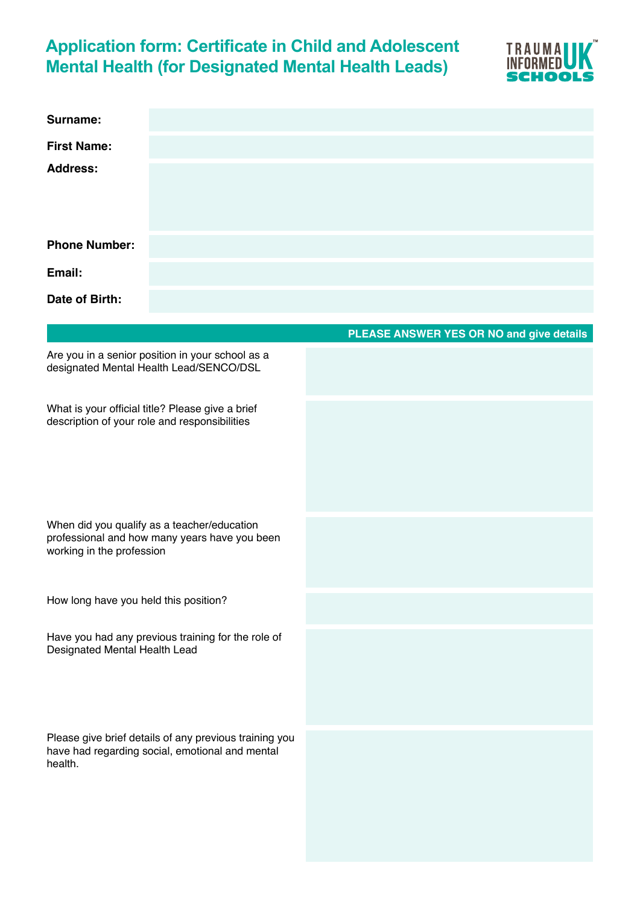## **Application form: Certificate in Child and Adolescent Mental Health (for Designated Mental Health Leads)**



| Surname:                                                                                                                  |                                          |
|---------------------------------------------------------------------------------------------------------------------------|------------------------------------------|
| <b>First Name:</b>                                                                                                        |                                          |
| <b>Address:</b>                                                                                                           |                                          |
| <b>Phone Number:</b>                                                                                                      |                                          |
| Email:                                                                                                                    |                                          |
| Date of Birth:                                                                                                            |                                          |
|                                                                                                                           | PLEASE ANSWER YES OR NO and give details |
| Are you in a senior position in your school as a<br>designated Mental Health Lead/SENCO/DSL                               |                                          |
| What is your official title? Please give a brief<br>description of your role and responsibilities                         |                                          |
| When did you qualify as a teacher/education<br>professional and how many years have you been<br>working in the profession |                                          |
| How long have you held this position?                                                                                     |                                          |
| Have you had any previous training for the role of<br>Designated Mental Health Lead                                       |                                          |
| Please give brief details of any previous training you<br>have had regarding social, emotional and mental<br>health.      |                                          |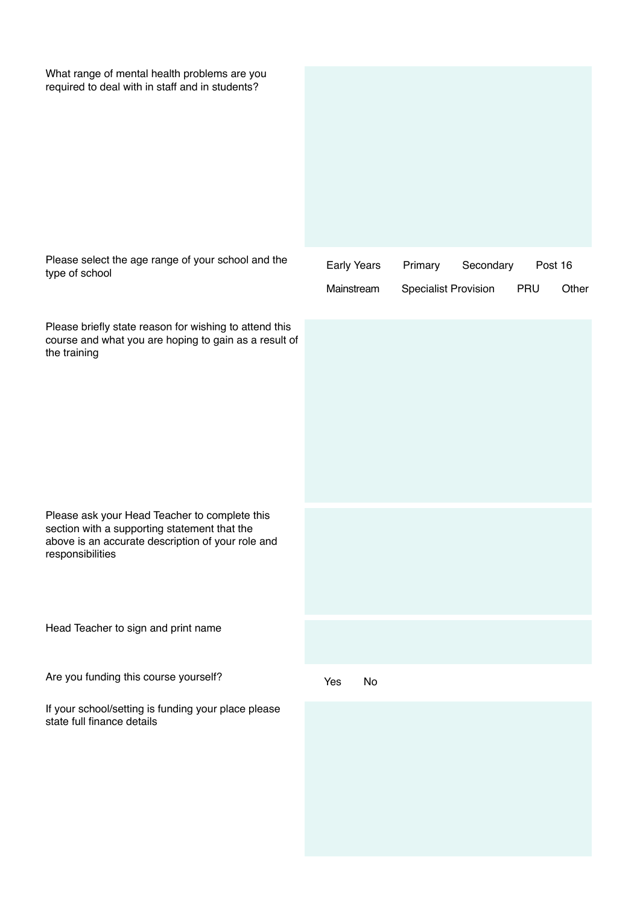| What range of mental health problems are you<br>required to deal with in staff and in students?                                                                        |                           |    |                                        |           |     |                  |
|------------------------------------------------------------------------------------------------------------------------------------------------------------------------|---------------------------|----|----------------------------------------|-----------|-----|------------------|
| Please select the age range of your school and the<br>type of school                                                                                                   | Early Years<br>Mainstream |    | Primary<br><b>Specialist Provision</b> | Secondary | PRU | Post 16<br>Other |
| Please briefly state reason for wishing to attend this<br>course and what you are hoping to gain as a result of<br>the training                                        |                           |    |                                        |           |     |                  |
| Please ask your Head Teacher to complete this<br>section with a supporting statement that the<br>above is an accurate description of your role and<br>responsibilities |                           |    |                                        |           |     |                  |
| Head Teacher to sign and print name                                                                                                                                    |                           |    |                                        |           |     |                  |
| Are you funding this course yourself?<br>If your school/setting is funding your place please<br>state full finance details                                             | Yes                       | No |                                        |           |     |                  |